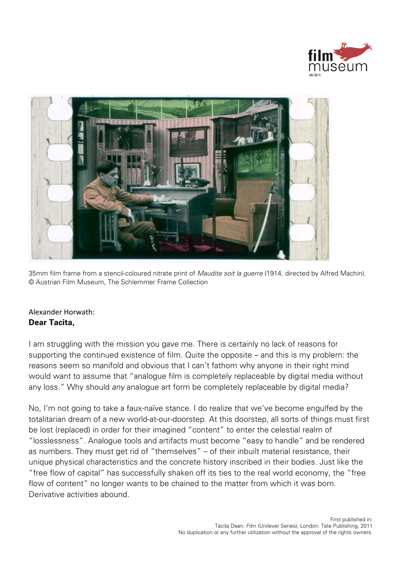



35mm film frame from a stencil-coloured nitrate print of Maudite soit la guerre (1914, directed by Alfred Machin). © Austrian Film Museum, The Schlemmer Frame Collection

## Alexander Horwath: **Dear Tacita,**

I am struggling with the mission you gave me. There is certainly no lack of reasons for supporting the continued existence of film. Quite the opposite – and this is my problem: the reasons seem so manifold and obvious that I can't fathom why anyone in their right mind would want to assume that "analogue film is completely replaceable by digital media without any loss." Why should *any* analogue art form be completely replaceable by digital media?

No, I'm not going to take a faux-naïve stance. I do realize that we've become engulfed by the totalitarian dream of a new world-at-our-doorstep. At this doorstep, all sorts of things must first be lost (replaced) in order for their imagined "content" to enter the celestial realm of "losslessness". Analogue tools and artifacts must become "easy to handle" and be rendered as numbers. They must get rid of "themselves" – of their inbuilt material resistance, their unique physical characteristics and the concrete history inscribed in their bodies. Just like the "free flow of capital" has successfully shaken off its ties to the real world economy, the "free flow of content" no longer wants to be chained to the matter from which it was born. Derivative activities abound.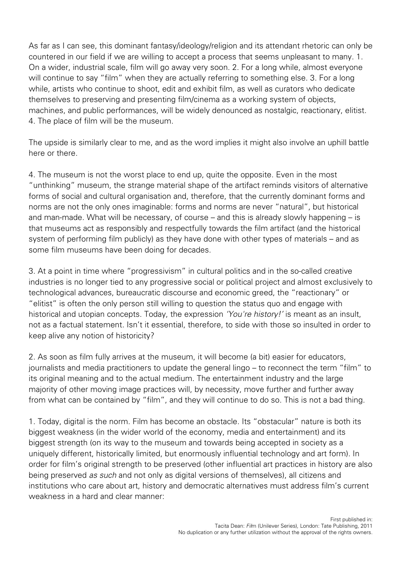As far as I can see, this dominant fantasy/ideology/religion and its attendant rhetoric can only be countered in our field if we are willing to accept a process that seems unpleasant to many. 1. On a wider, industrial scale, film will go away very soon. 2. For a long while, almost everyone will continue to say "film" when they are actually referring to something else. 3. For a long while, artists who continue to shoot, edit and exhibit film, as well as curators who dedicate themselves to preserving and presenting film/cinema as a working system of objects, machines, and public performances, will be widely denounced as nostalgic, reactionary, elitist. 4. The place of film will be the museum.

The upside is similarly clear to me, and as the word implies it might also involve an uphill battle here or there.

4. The museum is not the worst place to end up, quite the opposite. Even in the most "unthinking" museum, the strange material shape of the artifact reminds visitors of alternative forms of social and cultural organisation and, therefore, that the currently dominant forms and norms are not the only ones imaginable: forms and norms are never "natural", but historical and man-made. What will be necessary, of course – and this is already slowly happening – is that museums act as responsibly and respectfully towards the film artifact (and the historical system of performing film publicly) as they have done with other types of materials – and as some film museums have been doing for decades.

3. At a point in time where "progressivism" in cultural politics and in the so-called creative industries is no longer tied to any progressive social or political project and almost exclusively to technological advances, bureaucratic discourse and economic greed, the "reactionary" or "elitist" is often the only person still willing to question the status quo and engage with historical and utopian concepts. Today, the expression 'You're history!' is meant as an insult, not as a factual statement. Isn't it essential, therefore, to side with those so insulted in order to keep alive any notion of historicity?

2. As soon as film fully arrives at the museum, it will become (a bit) easier for educators, journalists and media practitioners to update the general lingo – to reconnect the term "film" to its original meaning and to the actual medium. The entertainment industry and the large majority of other moving image practices will, by necessity, move further and further away from what can be contained by "film", and they will continue to do so. This is not a bad thing.

1. Today, digital is the norm. Film has become an obstacle. Its "obstacular" nature is both its biggest weakness (in the wider world of the economy, media and entertainment) and its biggest strength (on its way to the museum and towards being accepted in society as a uniquely different, historically limited, but enormously influential technology and art form). In order for film's original strength to be preserved (other influential art practices in history are also being preserved as such and not only as digital versions of themselves), all citizens and institutions who care about art, history and democratic alternatives must address film's current weakness in a hard and clear manner: